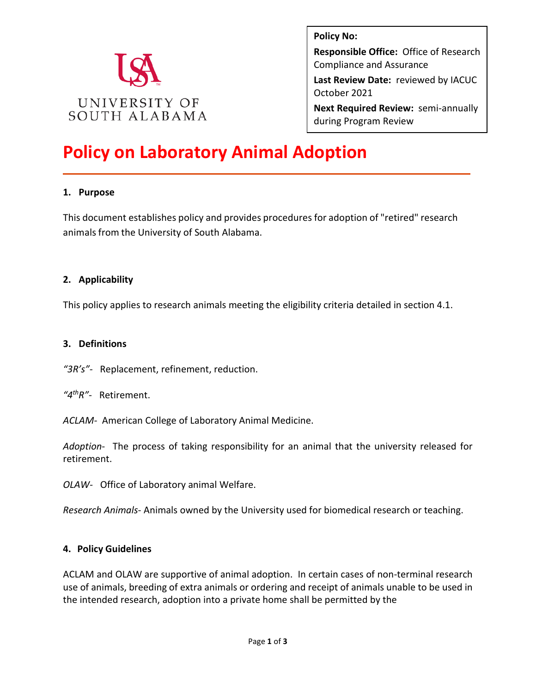

**Policy No: Responsible Office:** Office of Research Compliance and Assurance **Last Review Date:** reviewed by IACUC October 2021 **Next Required Review:** semi-annually during Program Review

# **Policy on Laboratory Animal Adoption**

#### **1. Purpose**

This document establishes policy and provides procedures for adoption of "retired" research animals from the University of South Alabama.

#### **2. Applicability**

This policy applies to research animals meeting the eligibility criteria detailed in section 4.1.

#### **3. Definitions**

*"3R's"-* Replacement, refinement, reduction.

*"4thR"*- Retirement.

*ACLAM-* American College of Laboratory Animal Medicine.

*Adoption*- The process of taking responsibility for an animal that the university released for retirement.

*OLAW-* Office of Laboratory animal Welfare.

*Research Animals*- Animals owned by the University used for biomedical research or teaching.

#### **4. Policy Guidelines**

ACLAM and OLAW are supportive of animal adoption. In certain cases of non-terminal research use of animals, breeding of extra animals or ordering and receipt of animals unable to be used in the intended research, adoption into a private home shall be permitted by the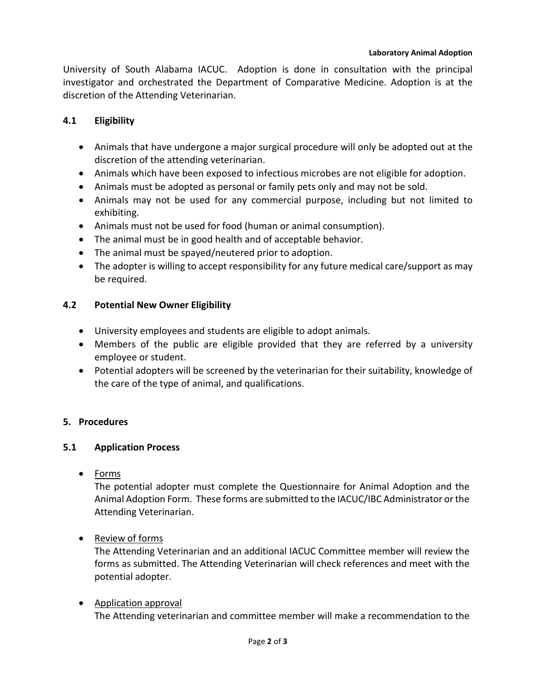University of South Alabama IACUC. Adoption is done in consultation with the principal investigator and orchestrated the Department of Comparative Medicine. Adoption is at the discretion of the Attending Veterinarian.

# **4.1 Eligibility**

- Animals that have undergone a major surgical procedure will only be adopted out at the discretion of the attending veterinarian.
- Animals which have been exposed to infectious microbes are not eligible for adoption.
- Animals must be adopted as personal or family pets only and may not be sold.
- Animals may not be used for any commercial purpose, including but not limited to exhibiting.
- Animals must not be used for food (human or animal consumption).
- The animal must be in good health and of acceptable behavior.
- The animal must be spayed/neutered prior to adoption.
- The adopter is willing to accept responsibility for any future medical care/support as may be required.

# **4.2 Potential New Owner Eligibility**

- University employees and students are eligible to adopt animals.
- Members of the public are eligible provided that they are referred by a university employee or student.
- Potential adopters will be screened by the veterinarian for their suitability, knowledge of the care of the type of animal, and qualifications.

# **5. Procedures**

# **5.1 Application Process**

• Forms

The potential adopter must complete the Questionnaire for Animal Adoption and the Animal Adoption Form. These forms are submitted to the IACUC/IBC Administrator or the Attending Veterinarian.

• Review of forms

The Attending Veterinarian and an additional IACUC Committee member will review the forms as submitted. The Attending Veterinarian will check references and meet with the potential adopter.

• Application approval The Attending veterinarian and committee member will make a recommendation to the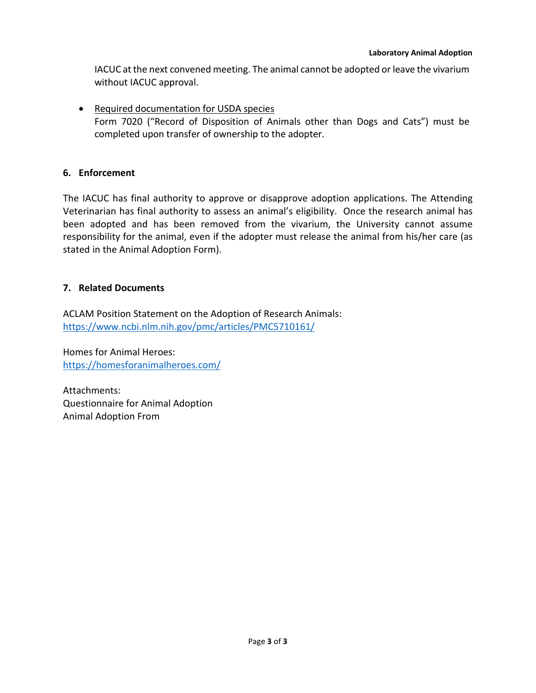IACUC at the next convened meeting. The animal cannot be adopted or leave the vivarium without IACUC approval.

• Required documentation for USDA species Form 7020 ("Record of Disposition of Animals other than Dogs and Cats") must be completed upon transfer of ownership to the adopter.

## **6. Enforcement**

The IACUC has final authority to approve or disapprove adoption applications. The Attending Veterinarian has final authority to assess an animal's eligibility. Once the research animal has been adopted and has been removed from the vivarium, the University cannot assume responsibility for the animal, even if the adopter must release the animal from his/her care (as stated in the Animal Adoption Form).

## **7. Related Documents**

ACLAM Position Statement on the Adoption of Research Animals: <https://www.ncbi.nlm.nih.gov/pmc/articles/PMC5710161/>

Homes for Animal Heroes: <https://homesforanimalheroes.com/>

Attachments: Questionnaire for Animal Adoption Animal Adoption From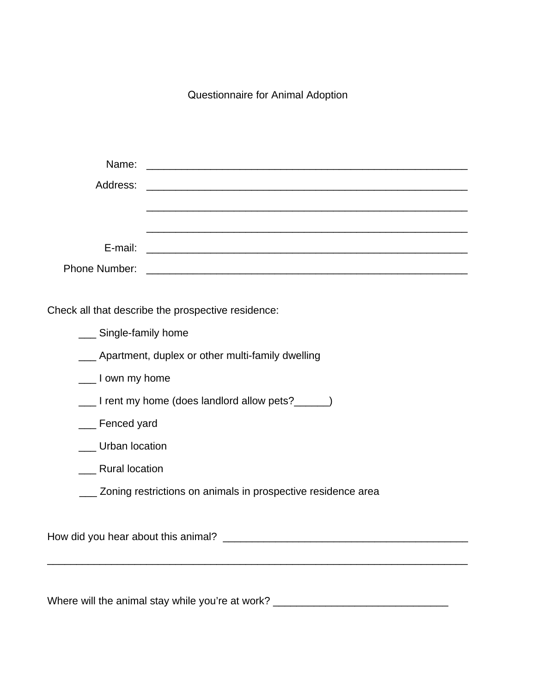Questionnaire for Animal Adoption

| Name:                                              |                                                           |  |  |  |  |
|----------------------------------------------------|-----------------------------------------------------------|--|--|--|--|
|                                                    |                                                           |  |  |  |  |
|                                                    |                                                           |  |  |  |  |
|                                                    |                                                           |  |  |  |  |
| E-mail:                                            | <u> 1980 - Andrea Andrewski, fransk politik (d. 1980)</u> |  |  |  |  |
|                                                    |                                                           |  |  |  |  |
|                                                    |                                                           |  |  |  |  |
| Check all that describe the prospective residence: |                                                           |  |  |  |  |

| Single-family home                                           |  |  |
|--------------------------------------------------------------|--|--|
| __ Apartment, duplex or other multi-family dwelling          |  |  |
| ___ I own my home                                            |  |  |
| _____I rent my home (does landlord allow pets?_______)       |  |  |
| __ Fenced yard                                               |  |  |
| Urban location                                               |  |  |
| <b>Rural location</b>                                        |  |  |
| Zoning restrictions on animals in prospective residence area |  |  |
|                                                              |  |  |
|                                                              |  |  |
|                                                              |  |  |

Where will the animal stay while you're at work? \_\_\_\_\_\_\_\_\_\_\_\_\_\_\_\_\_\_\_\_\_\_\_\_\_\_\_\_\_\_\_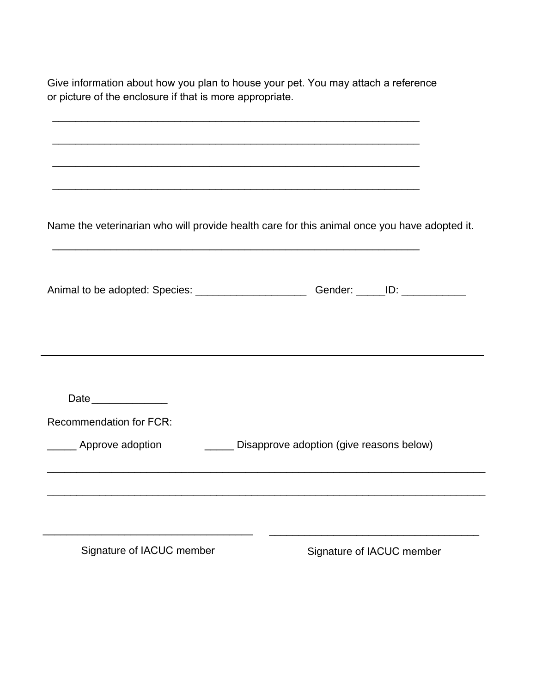| or picture of the enclosure if that is more appropriate. |                                                                                              |
|----------------------------------------------------------|----------------------------------------------------------------------------------------------|
|                                                          | <u> 1989 - Johann Stoff, amerikansk politiker (* 1908)</u>                                   |
|                                                          |                                                                                              |
|                                                          |                                                                                              |
|                                                          |                                                                                              |
|                                                          | Name the veterinarian who will provide health care for this animal once you have adopted it. |
|                                                          |                                                                                              |
|                                                          | Animal to be adopted: Species: __________________________Gender: ______ID: ____________      |
|                                                          |                                                                                              |
|                                                          |                                                                                              |
|                                                          |                                                                                              |
|                                                          |                                                                                              |
| Date                                                     |                                                                                              |
| <b>Recommendation for FCR:</b>                           |                                                                                              |
| _______ Approve adoption                                 | Disapprove adoption (give reasons below)                                                     |
|                                                          |                                                                                              |
|                                                          |                                                                                              |
|                                                          |                                                                                              |
| Signature of IACUC member                                | Signature of IACUC member                                                                    |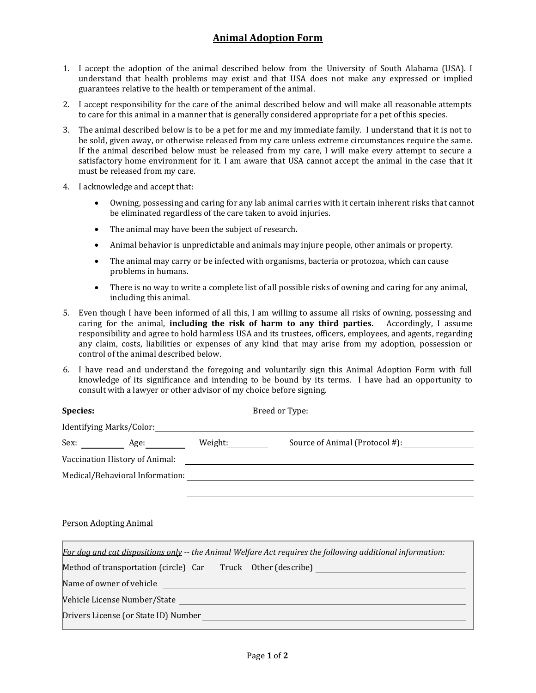## **Animal Adoption Form**

- 1. I accept the adoption of the animal described below from the University of South Alabama (USA). I understand that health problems may exist and that USA does not make any expressed or implied guarantees relative to the health or temperament of the animal.
- 2. I accept responsibility for the care of the animal described below and will make all reasonable attempts to care for this animal in a manner that is generally considered appropriate for a pet of this species.
- 3. The animal described below is to be a pet for me and my immediate family. I understand that it is not to be sold, given away, or otherwise released from my care unless extreme circumstances require the same. If the animal described below must be released from my care, I will make every attempt to secure a satisfactory home environment for it. I am aware that USA cannot accept the animal in the case that it must be released from my care.
- 4. I acknowledge and accept that:
	- Owning, possessing and caring for any lab animal carries with it certain inherent risks that cannot be eliminated regardless of the care taken to avoid injuries.
	- The animal may have been the subject of research.
	- Animal behavior is unpredictable and animals may injure people, other animals or property.
	- The animal may carry or be infected with organisms, bacteria or protozoa, which can cause problems in humans.
	- There is no way to write a complete list of all possible risks of owning and caring for any animal, including this animal.
- 5. Even though I have been informed of all this, I am willing to assume all risks of owning, possessing and caring for the animal, **including the risk of harm to any third parties.** Accordingly, I assume responsibility and agree to hold harmless USA and its trustees, officers, employees, and agents, regarding any claim, costs, liabilities or expenses of any kind that may arise from my adoption, possession or control of the animal described below.
- 6. I have read and understand the foregoing and voluntarily sign this Animal Adoption Form with full knowledge of its significance and intending to be bound by its terms. I have had an opportunity to consult with a lawyer or other advisor of my choice before signing.

| Species:                 |                                 |         | Breed or Type:                                                                                             |  |  |
|--------------------------|---------------------------------|---------|------------------------------------------------------------------------------------------------------------|--|--|
| Identifying Marks/Color: |                                 |         |                                                                                                            |  |  |
|                          | Sex: Age:                       | Weight: | Source of Animal (Protocol #):                                                                             |  |  |
|                          | Vaccination History of Animal:  |         |                                                                                                            |  |  |
|                          | Medical/Behavioral Information: |         |                                                                                                            |  |  |
|                          |                                 |         |                                                                                                            |  |  |
|                          |                                 |         |                                                                                                            |  |  |
|                          | <b>Person Adopting Animal</b>   |         |                                                                                                            |  |  |
|                          |                                 |         | For dog and cat dispositions only -- the Animal Welfare Act requires the following additional information: |  |  |

Method of transportation (circle) Car Truck Other (describe) Name of owner of vehicle <u> 1990 - Johann Barn, mars ann an t-A</u> Vehicle License Number/State Drivers License (or State ID) Number